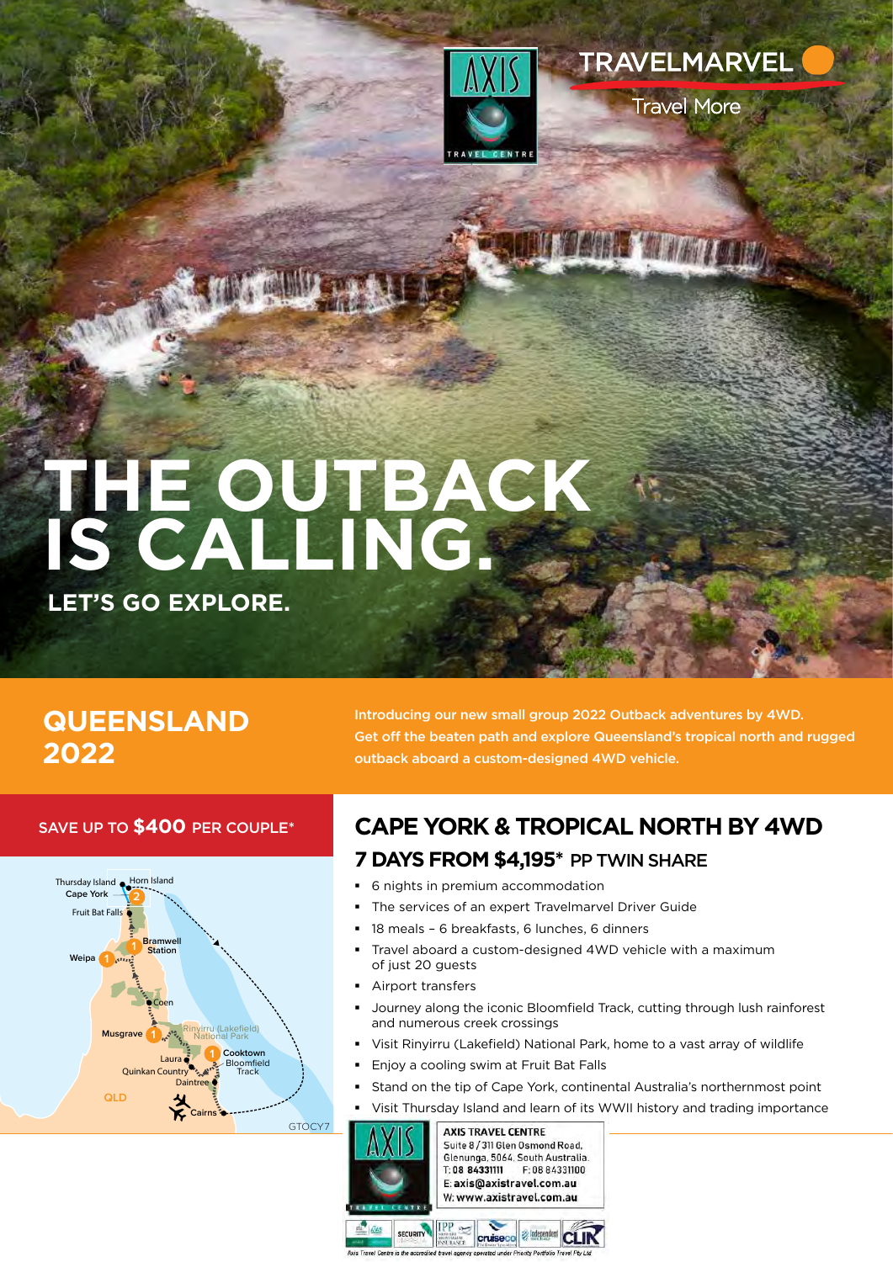

**TRAVELMARVEL** 

TT TO ANNEL Y ATT D'ATT LOUIDY

**Travel More** 

# **THE OUTBACK IS CALLING.**

**LET'S GO EXPLORE.**

## **QUEENSLAND 2022**

Introducing our new small group 2022 Outback adventures by 4WD. Get off the beaten path and explore Queensland's tropical north and rugged outback aboard a custom-designed 4WD vehicle.

### SAVE UP TO **\$400** PER COUPLE\*



**CAPE YORK & TROPICAL NORTH BY 4WD 7 DAYS FROM \$4,195\*** PP TWIN SHARE

- 6 nights in premium accommodation
- The services of an expert Travelmarvel Driver Guide
- 18 meals 6 breakfasts, 6 lunches, 6 dinners
- Travel aboard a custom-designed 4WD vehicle with a maximum of just 20 guests
- Airport transfers
- Journey along the iconic Bloomfield Track, cutting through lush rainforest and numerous creek crossings
- Visit Rinyirru (Lakefield) National Park, home to a vast array of wildlife
- Enjoy a cooling swim at Fruit Bat Falls
- Stand on the tip of Cape York, continental Australia's northernmost point
- Visit Thursday Island and learn of its WWII history and trading importance